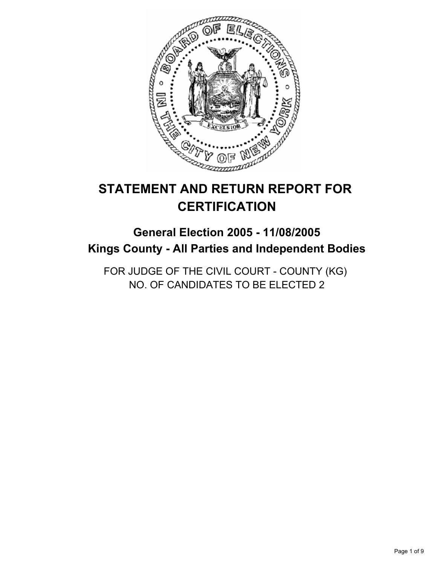

# **STATEMENT AND RETURN REPORT FOR CERTIFICATION**

## **General Election 2005 - 11/08/2005 Kings County - All Parties and Independent Bodies**

FOR JUDGE OF THE CIVIL COURT - COUNTY (KG) NO. OF CANDIDATES TO BE ELECTED 2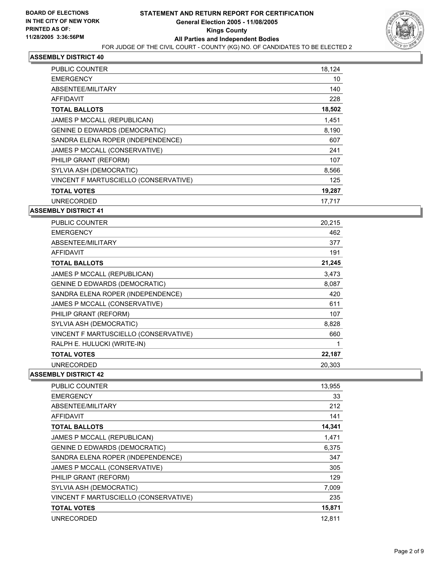

| PUBLIC COUNTER                        | 18,124 |
|---------------------------------------|--------|
| <b>EMERGENCY</b>                      | 10     |
| ABSENTEE/MILITARY                     | 140    |
| <b>AFFIDAVIT</b>                      | 228    |
| <b>TOTAL BALLOTS</b>                  | 18,502 |
| JAMES P MCCALL (REPUBLICAN)           | 1,451  |
| <b>GENINE D EDWARDS (DEMOCRATIC)</b>  | 8,190  |
| SANDRA ELENA ROPER (INDEPENDENCE)     | 607    |
| JAMES P MCCALL (CONSERVATIVE)         | 241    |
| PHILIP GRANT (REFORM)                 | 107    |
| SYLVIA ASH (DEMOCRATIC)               | 8,566  |
| VINCENT F MARTUSCIELLO (CONSERVATIVE) | 125    |
| <b>TOTAL VOTES</b>                    | 19,287 |
| <b>UNRECORDED</b>                     | 17,717 |

#### **ASSEMBLY DISTRICT 41**

| <b>PUBLIC COUNTER</b>                 | 20,215 |
|---------------------------------------|--------|
| <b>EMERGENCY</b>                      | 462    |
| ABSENTEE/MILITARY                     | 377    |
| <b>AFFIDAVIT</b>                      | 191    |
| <b>TOTAL BALLOTS</b>                  | 21,245 |
| JAMES P MCCALL (REPUBLICAN)           | 3,473  |
| <b>GENINE D EDWARDS (DEMOCRATIC)</b>  | 8,087  |
| SANDRA ELENA ROPER (INDEPENDENCE)     | 420    |
| JAMES P MCCALL (CONSERVATIVE)         | 611    |
| PHILIP GRANT (REFORM)                 | 107    |
| SYLVIA ASH (DEMOCRATIC)               | 8,828  |
| VINCENT F MARTUSCIELLO (CONSERVATIVE) | 660    |
| RALPH E. HULUCKI (WRITE-IN)           |        |
| <b>TOTAL VOTES</b>                    | 22,187 |
| <b>UNRECORDED</b>                     | 20,303 |

| <b>PUBLIC COUNTER</b>                 | 13,955 |
|---------------------------------------|--------|
| <b>EMERGENCY</b>                      | 33     |
| ABSENTEE/MILITARY                     | 212    |
| <b>AFFIDAVIT</b>                      | 141    |
| <b>TOTAL BALLOTS</b>                  | 14,341 |
| JAMES P MCCALL (REPUBLICAN)           | 1,471  |
| <b>GENINE D EDWARDS (DEMOCRATIC)</b>  | 6,375  |
| SANDRA ELENA ROPER (INDEPENDENCE)     | 347    |
| JAMES P MCCALL (CONSERVATIVE)         | 305    |
| PHILIP GRANT (REFORM)                 | 129    |
| SYLVIA ASH (DEMOCRATIC)               | 7,009  |
| VINCENT F MARTUSCIELLO (CONSERVATIVE) | 235    |
| <b>TOTAL VOTES</b>                    | 15,871 |
| <b>UNRECORDED</b>                     | 12,811 |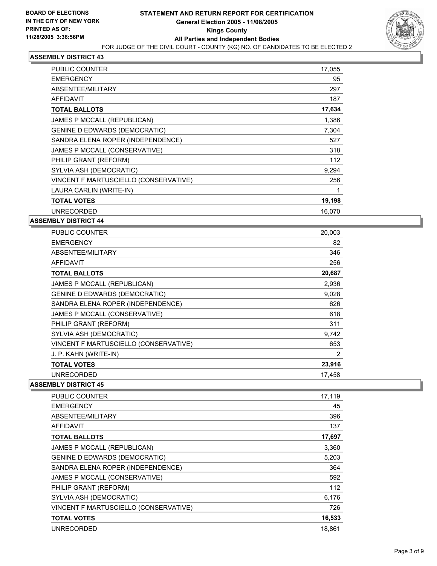

| PUBLIC COUNTER                        | 17,055 |
|---------------------------------------|--------|
| <b>EMERGENCY</b>                      | 95     |
| ABSENTEE/MILITARY                     | 297    |
| <b>AFFIDAVIT</b>                      | 187    |
| <b>TOTAL BALLOTS</b>                  | 17,634 |
| JAMES P MCCALL (REPUBLICAN)           | 1,386  |
| <b>GENINE D EDWARDS (DEMOCRATIC)</b>  | 7,304  |
| SANDRA ELENA ROPER (INDEPENDENCE)     | 527    |
| JAMES P MCCALL (CONSERVATIVE)         | 318    |
| PHILIP GRANT (REFORM)                 | 112    |
| SYLVIA ASH (DEMOCRATIC)               | 9,294  |
| VINCENT F MARTUSCIELLO (CONSERVATIVE) | 256    |
| LAURA CARLIN (WRITE-IN)               |        |
| <b>TOTAL VOTES</b>                    | 19,198 |
| <b>UNRECORDED</b>                     | 16,070 |

#### **ASSEMBLY DISTRICT 44**

| PUBLIC COUNTER                        | 20,003 |
|---------------------------------------|--------|
| <b>EMERGENCY</b>                      | 82     |
| ABSENTEE/MILITARY                     | 346    |
| AFFIDAVIT                             | 256    |
| <b>TOTAL BALLOTS</b>                  | 20,687 |
| JAMES P MCCALL (REPUBLICAN)           | 2,936  |
| <b>GENINE D EDWARDS (DEMOCRATIC)</b>  | 9,028  |
| SANDRA ELENA ROPER (INDEPENDENCE)     | 626    |
| JAMES P MCCALL (CONSERVATIVE)         | 618    |
| PHILIP GRANT (REFORM)                 | 311    |
| SYLVIA ASH (DEMOCRATIC)               | 9,742  |
| VINCENT F MARTUSCIELLO (CONSERVATIVE) | 653    |
| J. P. KAHN (WRITE-IN)                 | 2      |
| <b>TOTAL VOTES</b>                    | 23,916 |
| <b>UNRECORDED</b>                     | 17,458 |

| PUBLIC COUNTER                        | 17,119 |
|---------------------------------------|--------|
| <b>EMERGENCY</b>                      | 45     |
| ABSENTEE/MILITARY                     | 396    |
| AFFIDAVIT                             | 137    |
| <b>TOTAL BALLOTS</b>                  | 17,697 |
| JAMES P MCCALL (REPUBLICAN)           | 3,360  |
| <b>GENINE D EDWARDS (DEMOCRATIC)</b>  | 5,203  |
| SANDRA ELENA ROPER (INDEPENDENCE)     | 364    |
| JAMES P MCCALL (CONSERVATIVE)         | 592    |
| PHILIP GRANT (REFORM)                 | 112    |
| SYLVIA ASH (DEMOCRATIC)               | 6,176  |
| VINCENT F MARTUSCIELLO (CONSERVATIVE) | 726    |
| <b>TOTAL VOTES</b>                    | 16,533 |
| <b>UNRECORDED</b>                     | 18.861 |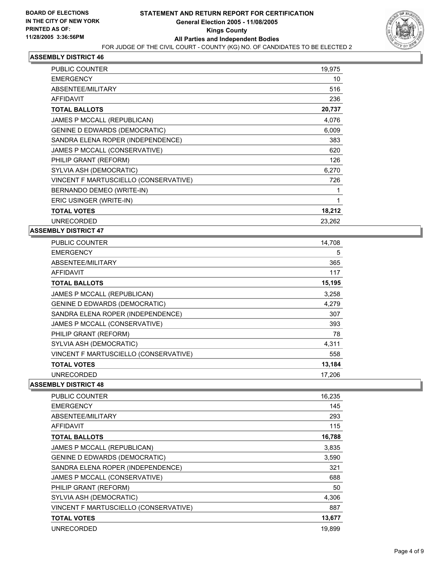

| PUBLIC COUNTER                        | 19,975 |  |
|---------------------------------------|--------|--|
| <b>EMERGENCY</b>                      | 10     |  |
| ABSENTEE/MILITARY                     | 516    |  |
| <b>AFFIDAVIT</b>                      | 236    |  |
| <b>TOTAL BALLOTS</b>                  | 20,737 |  |
| JAMES P MCCALL (REPUBLICAN)           | 4,076  |  |
| <b>GENINE D EDWARDS (DEMOCRATIC)</b>  | 6,009  |  |
| SANDRA ELENA ROPER (INDEPENDENCE)     | 383    |  |
| JAMES P MCCALL (CONSERVATIVE)         | 620    |  |
| PHILIP GRANT (REFORM)                 | 126    |  |
| SYLVIA ASH (DEMOCRATIC)               | 6,270  |  |
| VINCENT F MARTUSCIELLO (CONSERVATIVE) | 726    |  |
| BERNANDO DEMEO (WRITE-IN)             |        |  |
| ERIC USINGER (WRITE-IN)               |        |  |
| <b>TOTAL VOTES</b>                    | 18,212 |  |
| <b>UNRECORDED</b>                     | 23.262 |  |

## **ASSEMBLY DISTRICT 47**

| <b>PUBLIC COUNTER</b>                 | 14,708 |
|---------------------------------------|--------|
| <b>EMERGENCY</b>                      | 5      |
| ABSENTEE/MILITARY                     | 365    |
| AFFIDAVIT                             | 117    |
| <b>TOTAL BALLOTS</b>                  | 15,195 |
| JAMES P MCCALL (REPUBLICAN)           | 3,258  |
| <b>GENINE D EDWARDS (DEMOCRATIC)</b>  | 4,279  |
| SANDRA ELENA ROPER (INDEPENDENCE)     | 307    |
| JAMES P MCCALL (CONSERVATIVE)         | 393    |
| PHILIP GRANT (REFORM)                 | 78     |
| SYLVIA ASH (DEMOCRATIC)               | 4,311  |
| VINCENT F MARTUSCIELLO (CONSERVATIVE) | 558    |
| <b>TOTAL VOTES</b>                    | 13,184 |
| <b>UNRECORDED</b>                     | 17.206 |

| PUBLIC COUNTER                        | 16,235 |
|---------------------------------------|--------|
| <b>EMERGENCY</b>                      | 145    |
| ABSENTEE/MILITARY                     | 293    |
| AFFIDAVIT                             | 115    |
| <b>TOTAL BALLOTS</b>                  | 16,788 |
| JAMES P MCCALL (REPUBLICAN)           | 3,835  |
| <b>GENINE D EDWARDS (DEMOCRATIC)</b>  | 3,590  |
| SANDRA ELENA ROPER (INDEPENDENCE)     | 321    |
| JAMES P MCCALL (CONSERVATIVE)         | 688    |
| PHILIP GRANT (REFORM)                 | 50     |
| SYLVIA ASH (DEMOCRATIC)               | 4,306  |
| VINCENT F MARTUSCIELLO (CONSERVATIVE) | 887    |
| <b>TOTAL VOTES</b>                    | 13,677 |
| <b>UNRECORDED</b>                     | 19,899 |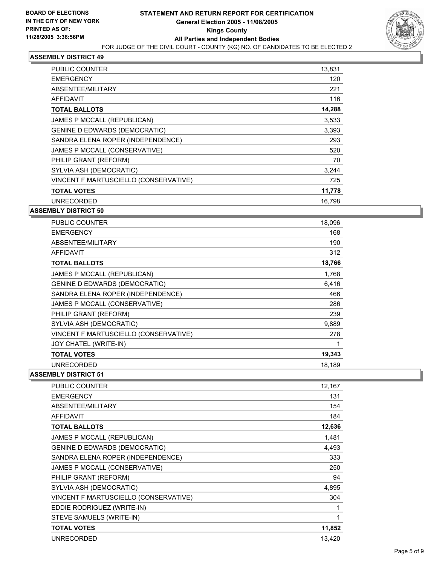

| PUBLIC COUNTER                        | 13,831 |
|---------------------------------------|--------|
| <b>EMERGENCY</b>                      | 120    |
| ABSENTEE/MILITARY                     | 221    |
| <b>AFFIDAVIT</b>                      | 116    |
| <b>TOTAL BALLOTS</b>                  | 14,288 |
| JAMES P MCCALL (REPUBLICAN)           | 3.533  |
| <b>GENINE D EDWARDS (DEMOCRATIC)</b>  | 3,393  |
| SANDRA ELENA ROPER (INDEPENDENCE)     | 293    |
| JAMES P MCCALL (CONSERVATIVE)         | 520    |
| PHILIP GRANT (REFORM)                 | 70     |
| SYLVIA ASH (DEMOCRATIC)               | 3,244  |
| VINCENT F MARTUSCIELLO (CONSERVATIVE) | 725    |
| <b>TOTAL VOTES</b>                    | 11,778 |
| <b>UNRECORDED</b>                     | 16.798 |

#### **ASSEMBLY DISTRICT 50**

| <b>PUBLIC COUNTER</b>                 | 18,096 |
|---------------------------------------|--------|
| <b>EMERGENCY</b>                      | 168    |
| ABSENTEE/MILITARY                     | 190    |
| AFFIDAVIT                             | 312    |
| <b>TOTAL BALLOTS</b>                  | 18,766 |
| JAMES P MCCALL (REPUBLICAN)           | 1,768  |
| <b>GENINE D EDWARDS (DEMOCRATIC)</b>  | 6,416  |
| SANDRA ELENA ROPER (INDEPENDENCE)     | 466    |
| JAMES P MCCALL (CONSERVATIVE)         | 286    |
| PHILIP GRANT (REFORM)                 | 239    |
| SYLVIA ASH (DEMOCRATIC)               | 9,889  |
| VINCENT F MARTUSCIELLO (CONSERVATIVE) | 278    |
| JOY CHATEL (WRITE-IN)                 |        |
| <b>TOTAL VOTES</b>                    | 19,343 |
| <b>UNRECORDED</b>                     | 18,189 |

| PUBLIC COUNTER                        | 12,167 |
|---------------------------------------|--------|
| <b>EMERGENCY</b>                      | 131    |
| ABSENTEE/MILITARY                     | 154    |
| AFFIDAVIT                             | 184    |
| <b>TOTAL BALLOTS</b>                  | 12,636 |
| JAMES P MCCALL (REPUBLICAN)           | 1,481  |
| <b>GENINE D EDWARDS (DEMOCRATIC)</b>  | 4,493  |
| SANDRA ELENA ROPER (INDEPENDENCE)     | 333    |
| JAMES P MCCALL (CONSERVATIVE)         | 250    |
| PHILIP GRANT (REFORM)                 | 94     |
| SYLVIA ASH (DEMOCRATIC)               | 4,895  |
| VINCENT F MARTUSCIELLO (CONSERVATIVE) | 304    |
| EDDIE RODRIGUEZ (WRITE-IN)            |        |
| STEVE SAMUELS (WRITE-IN)              |        |
| <b>TOTAL VOTES</b>                    | 11,852 |
| <b>UNRECORDED</b>                     | 13,420 |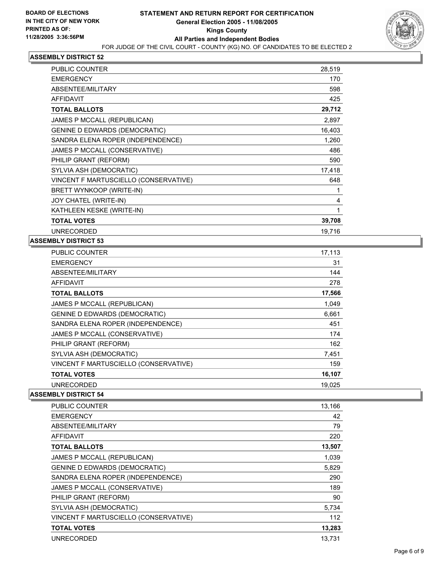

| PUBLIC COUNTER                        | 28,519 |
|---------------------------------------|--------|
| <b>EMERGENCY</b>                      | 170    |
| ABSENTEE/MILITARY                     | 598    |
| AFFIDAVIT                             | 425    |
| <b>TOTAL BALLOTS</b>                  | 29,712 |
| JAMES P MCCALL (REPUBLICAN)           | 2,897  |
| <b>GENINE D EDWARDS (DEMOCRATIC)</b>  | 16,403 |
| SANDRA ELENA ROPER (INDEPENDENCE)     | 1,260  |
| JAMES P MCCALL (CONSERVATIVE)         | 486    |
| PHILIP GRANT (REFORM)                 | 590    |
| SYLVIA ASH (DEMOCRATIC)               | 17,418 |
| VINCENT F MARTUSCIELLO (CONSERVATIVE) | 648    |
| BRETT WYNKOOP (WRITE-IN)              |        |
| JOY CHATEL (WRITE-IN)                 | 4      |
| KATHLEEN KESKE (WRITE-IN)             |        |
| <b>TOTAL VOTES</b>                    | 39,708 |
| <b>UNRECORDED</b>                     | 19,716 |

#### **ASSEMBLY DISTRICT 53**

| <b>PUBLIC COUNTER</b>                 | 17,113 |
|---------------------------------------|--------|
| <b>EMERGENCY</b>                      | 31     |
| ABSENTEE/MILITARY                     | 144    |
| AFFIDAVIT                             | 278    |
| <b>TOTAL BALLOTS</b>                  | 17,566 |
| JAMES P MCCALL (REPUBLICAN)           | 1,049  |
| <b>GENINE D EDWARDS (DEMOCRATIC)</b>  | 6,661  |
| SANDRA ELENA ROPER (INDEPENDENCE)     | 451    |
| JAMES P MCCALL (CONSERVATIVE)         | 174    |
| PHILIP GRANT (REFORM)                 | 162    |
| SYLVIA ASH (DEMOCRATIC)               | 7,451  |
| VINCENT F MARTUSCIELLO (CONSERVATIVE) | 159    |
| <b>TOTAL VOTES</b>                    | 16,107 |
| <b>UNRECORDED</b>                     | 19,025 |
|                                       |        |

| <b>PUBLIC COUNTER</b>                 | 13,166 |
|---------------------------------------|--------|
| <b>EMERGENCY</b>                      | 42     |
| ABSENTEE/MILITARY                     | 79     |
| AFFIDAVIT                             | 220    |
| <b>TOTAL BALLOTS</b>                  | 13,507 |
| JAMES P MCCALL (REPUBLICAN)           | 1,039  |
| <b>GENINE D EDWARDS (DEMOCRATIC)</b>  | 5,829  |
| SANDRA ELENA ROPER (INDEPENDENCE)     | 290    |
| JAMES P MCCALL (CONSERVATIVE)         | 189    |
| PHILIP GRANT (REFORM)                 | 90     |
| SYLVIA ASH (DEMOCRATIC)               | 5,734  |
| VINCENT F MARTUSCIELLO (CONSERVATIVE) | 112    |
| <b>TOTAL VOTES</b>                    | 13,283 |
| <b>UNRECORDED</b>                     | 13,731 |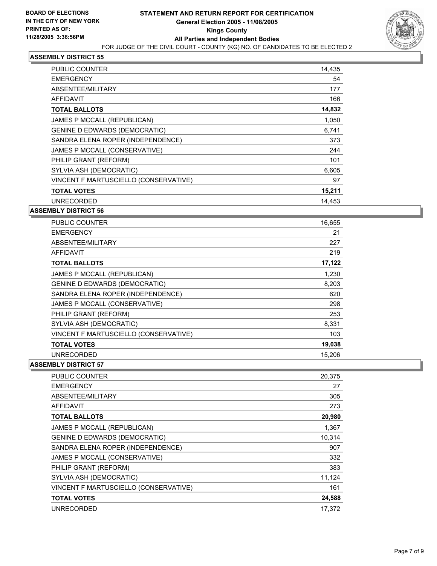

| <b>PUBLIC COUNTER</b>                 | 14,435 |
|---------------------------------------|--------|
| <b>EMERGENCY</b>                      | 54     |
| ABSENTEE/MILITARY                     | 177    |
| <b>AFFIDAVIT</b>                      | 166    |
| <b>TOTAL BALLOTS</b>                  | 14,832 |
| JAMES P MCCALL (REPUBLICAN)           | 1,050  |
| <b>GENINE D EDWARDS (DEMOCRATIC)</b>  | 6,741  |
| SANDRA ELENA ROPER (INDEPENDENCE)     | 373    |
| JAMES P MCCALL (CONSERVATIVE)         | 244    |
| PHILIP GRANT (REFORM)                 | 101    |
| SYLVIA ASH (DEMOCRATIC)               | 6,605  |
| VINCENT F MARTUSCIELLO (CONSERVATIVE) | 97     |
| <b>TOTAL VOTES</b>                    | 15,211 |
| <b>UNRECORDED</b>                     | 14.453 |

#### **ASSEMBLY DISTRICT 56**

| <b>PUBLIC COUNTER</b>                 | 16,655 |
|---------------------------------------|--------|
| <b>EMERGENCY</b>                      | 21     |
| ABSENTEE/MILITARY                     | 227    |
| AFFIDAVIT                             | 219    |
| <b>TOTAL BALLOTS</b>                  | 17,122 |
| JAMES P MCCALL (REPUBLICAN)           | 1,230  |
| <b>GENINE D EDWARDS (DEMOCRATIC)</b>  | 8,203  |
| SANDRA ELENA ROPER (INDEPENDENCE)     | 620    |
| JAMES P MCCALL (CONSERVATIVE)         | 298    |
| PHILIP GRANT (REFORM)                 | 253    |
| SYLVIA ASH (DEMOCRATIC)               | 8,331  |
| VINCENT F MARTUSCIELLO (CONSERVATIVE) | 103    |
| <b>TOTAL VOTES</b>                    | 19,038 |
| <b>UNRECORDED</b>                     | 15,206 |

| PUBLIC COUNTER                        | 20,375 |
|---------------------------------------|--------|
| <b>EMERGENCY</b>                      | 27     |
| ABSENTEE/MILITARY                     | 305    |
| <b>AFFIDAVIT</b>                      | 273    |
| <b>TOTAL BALLOTS</b>                  | 20,980 |
| JAMES P MCCALL (REPUBLICAN)           | 1,367  |
| <b>GENINE D EDWARDS (DEMOCRATIC)</b>  | 10,314 |
| SANDRA ELENA ROPER (INDEPENDENCE)     | 907    |
| JAMES P MCCALL (CONSERVATIVE)         | 332    |
| PHILIP GRANT (REFORM)                 | 383    |
| SYLVIA ASH (DEMOCRATIC)               | 11,124 |
| VINCENT F MARTUSCIELLO (CONSERVATIVE) | 161    |
| <b>TOTAL VOTES</b>                    | 24,588 |
| <b>UNRECORDED</b>                     | 17.372 |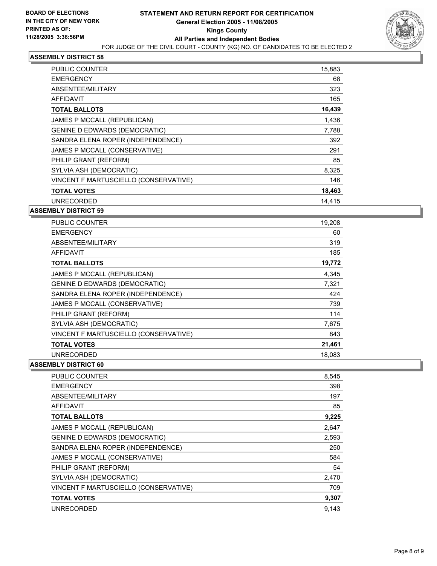

| PUBLIC COUNTER                        | 15,883 |
|---------------------------------------|--------|
| <b>EMERGENCY</b>                      | 68     |
| ABSENTEE/MILITARY                     | 323    |
| <b>AFFIDAVIT</b>                      | 165    |
| <b>TOTAL BALLOTS</b>                  | 16,439 |
| JAMES P MCCALL (REPUBLICAN)           | 1,436  |
| <b>GENINE D EDWARDS (DEMOCRATIC)</b>  | 7,788  |
| SANDRA ELENA ROPER (INDEPENDENCE)     | 392    |
| JAMES P MCCALL (CONSERVATIVE)         | 291    |
| PHILIP GRANT (REFORM)                 | 85     |
| SYLVIA ASH (DEMOCRATIC)               | 8,325  |
| VINCENT F MARTUSCIELLO (CONSERVATIVE) | 146    |
| <b>TOTAL VOTES</b>                    | 18,463 |
| <b>UNRECORDED</b>                     | 14.415 |

#### **ASSEMBLY DISTRICT 59**

| <b>PUBLIC COUNTER</b>                 | 19,208 |  |
|---------------------------------------|--------|--|
| <b>EMERGENCY</b>                      | 60     |  |
| ABSENTEE/MILITARY                     | 319    |  |
| AFFIDAVIT                             | 185    |  |
| <b>TOTAL BALLOTS</b>                  | 19,772 |  |
| JAMES P MCCALL (REPUBLICAN)           | 4,345  |  |
| <b>GENINE D EDWARDS (DEMOCRATIC)</b>  | 7,321  |  |
| SANDRA ELENA ROPER (INDEPENDENCE)     | 424    |  |
| JAMES P MCCALL (CONSERVATIVE)         | 739    |  |
| PHILIP GRANT (REFORM)                 | 114    |  |
| SYLVIA ASH (DEMOCRATIC)               | 7,675  |  |
| VINCENT F MARTUSCIELLO (CONSERVATIVE) | 843    |  |
| <b>TOTAL VOTES</b>                    | 21,461 |  |
| <b>UNRECORDED</b>                     | 18,083 |  |

| PUBLIC COUNTER<br>8,545                       |     |
|-----------------------------------------------|-----|
| <b>EMERGENCY</b>                              | 398 |
| ABSENTEE/MILITARY                             | 197 |
| <b>AFFIDAVIT</b>                              | 85  |
| 9,225<br><b>TOTAL BALLOTS</b>                 |     |
| JAMES P MCCALL (REPUBLICAN)<br>2,647          |     |
| <b>GENINE D EDWARDS (DEMOCRATIC)</b><br>2,593 |     |
| SANDRA ELENA ROPER (INDEPENDENCE)             | 250 |
| JAMES P MCCALL (CONSERVATIVE)                 | 584 |
| PHILIP GRANT (REFORM)                         | 54  |
| SYLVIA ASH (DEMOCRATIC)<br>2,470              |     |
| VINCENT F MARTUSCIELLO (CONSERVATIVE)         | 709 |
| 9,307<br><b>TOTAL VOTES</b>                   |     |
| <b>UNRECORDED</b><br>9,143                    |     |